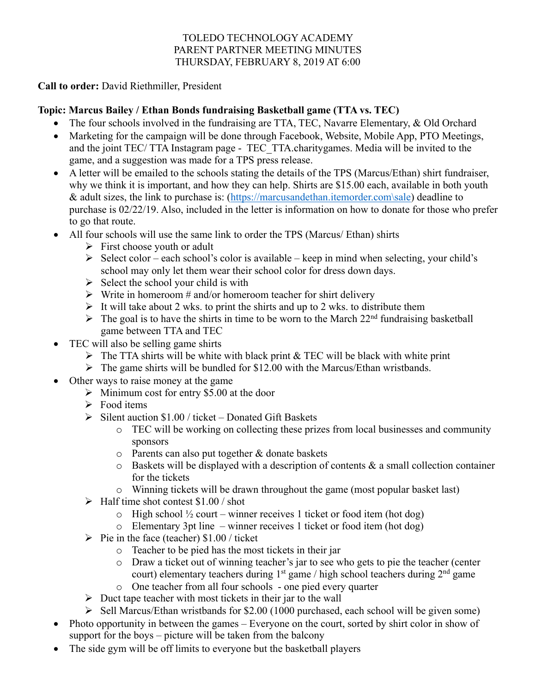#### TOLEDO TECHNOLOGY ACADEMY PARENT PARTNER MEETING MINUTES THURSDAY, FEBRUARY 8, 2019 AT 6:00

**Call to order:** David Riethmiller, President

# **Topic: Marcus Bailey / Ethan Bonds fundraising Basketball game (TTA vs. TEC)**

- The four schools involved in the fundraising are TTA, TEC, Navarre Elementary, & Old Orchard
- Marketing for the campaign will be done through Facebook, Website, Mobile App, PTO Meetings, and the joint TEC/ TTA Instagram page - TEC\_TTA.charitygames. Media will be invited to the game, and a suggestion was made for a TPS press release.
- A letter will be emailed to the schools stating the details of the TPS (Marcus/Ethan) shirt fundraiser, why we think it is important, and how they can help. Shirts are \$15.00 each, available in both youth & adult sizes, the link to purchase is: (https://marcusandethan.itemorder.com\sale) deadline to purchase is 02/22/19. Also, included in the letter is information on how to donate for those who prefer to go that route.
- All four schools will use the same link to order the TPS (Marcus/ Ethan) shirts
	- $\triangleright$  First choose youth or adult
	- $\triangleright$  Select color each school's color is available keep in mind when selecting, your child's school may only let them wear their school color for dress down days.
	- $\triangleright$  Select the school your child is with
	- $\triangleright$  Write in homeroom # and/or homeroom teacher for shirt delivery
	- $\triangleright$  It will take about 2 wks. to print the shirts and up to 2 wks. to distribute them
	- $\triangleright$  The goal is to have the shirts in time to be worn to the March 22<sup>nd</sup> fundraising basketball game between TTA and TEC
- TEC will also be selling game shirts
	- $\triangleright$  The TTA shirts will be white with black print & TEC will be black with white print
	- $\triangleright$  The game shirts will be bundled for \$12.00 with the Marcus/Ethan wristbands.
- Other ways to raise money at the game
	- $\triangleright$  Minimum cost for entry \$5.00 at the door
	- $\triangleright$  Food items
	- $\triangleright$  Silent auction \$1.00 / ticket Donated Gift Baskets
		- o TEC will be working on collecting these prizes from local businesses and community sponsors
		- o Parents can also put together & donate baskets
		- $\circ$  Baskets will be displayed with a description of contents & a small collection container for the tickets
		- $\circ$  Winning tickets will be drawn throughout the game (most popular basket last)
	- $\blacktriangleright$  Half time shot contest \$1.00 / shot
		- $\circ$  High school  $\frac{1}{2}$  court winner receives 1 ticket or food item (hot dog)
		- $\circ$  Elementary 3pt line winner receives 1 ticket or food item (hot dog)
	- $\triangleright$  Pie in the face (teacher) \$1.00 / ticket
		- o Teacher to be pied has the most tickets in their jar
		- o Draw a ticket out of winning teacher's jar to see who gets to pie the teacher (center court) elementary teachers during  $1<sup>st</sup>$  game / high school teachers during  $2<sup>nd</sup>$  game
		- o One teacher from all four schools one pied every quarter
	- $\triangleright$  Duct tape teacher with most tickets in their jar to the wall
	- $\triangleright$  Sell Marcus/Ethan wristbands for \$2.00 (1000 purchased, each school will be given some)
- Photo opportunity in between the games Everyone on the court, sorted by shirt color in show of support for the boys – picture will be taken from the balcony
- The side gym will be off limits to everyone but the basketball players